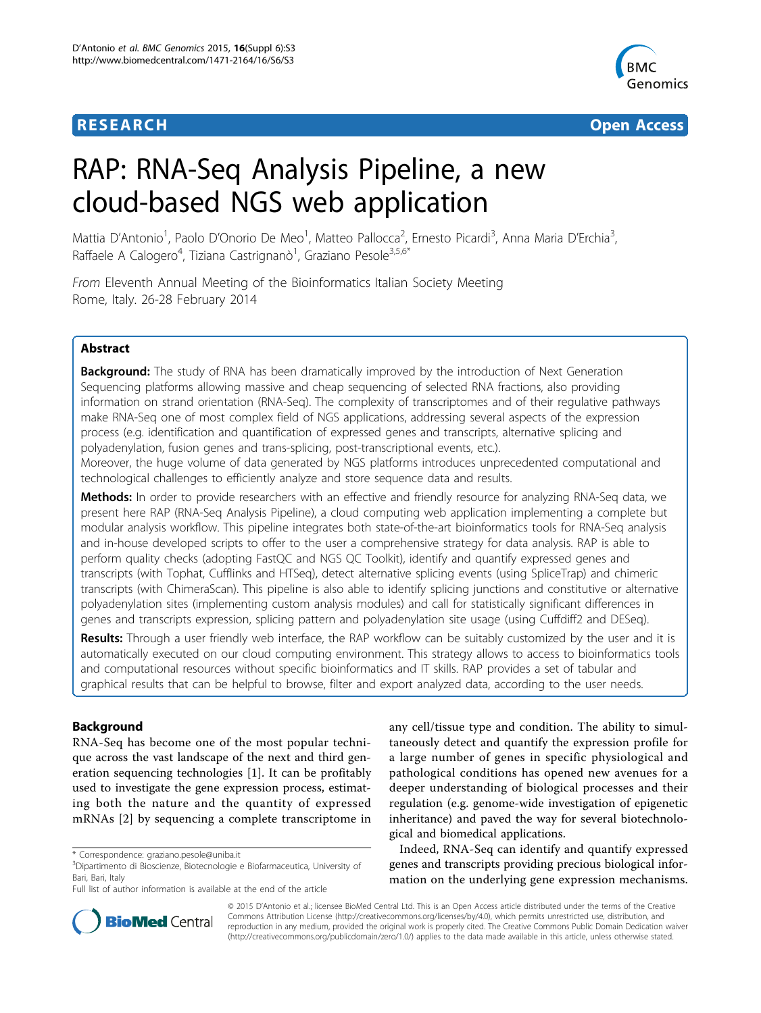



# RAP: RNA-Seq Analysis Pipeline, a new cloud-based NGS web application

Mattia D'Antonio<sup>1</sup>, Paolo D'Onorio De Meo<sup>1</sup>, Matteo Pallocca<sup>2</sup>, Ernesto Picardi<sup>3</sup>, Anna Maria D'Erchia<sup>3</sup> , Raffaele A Calogero<sup>4</sup>, Tiziana Castrignanò<sup>1</sup>, Graziano Pesole<sup>3,5,6\*</sup>

From Eleventh Annual Meeting of the Bioinformatics Italian Society Meeting Rome, Italy. 26-28 February 2014

# Abstract

**Background:** The study of RNA has been dramatically improved by the introduction of Next Generation Sequencing platforms allowing massive and cheap sequencing of selected RNA fractions, also providing information on strand orientation (RNA-Seq). The complexity of transcriptomes and of their regulative pathways make RNA-Seq one of most complex field of NGS applications, addressing several aspects of the expression process (e.g. identification and quantification of expressed genes and transcripts, alternative splicing and polyadenylation, fusion genes and trans-splicing, post-transcriptional events, etc.).

Moreover, the huge volume of data generated by NGS platforms introduces unprecedented computational and technological challenges to efficiently analyze and store sequence data and results.

Methods: In order to provide researchers with an effective and friendly resource for analyzing RNA-Seq data, we present here RAP (RNA-Seq Analysis Pipeline), a cloud computing web application implementing a complete but modular analysis workflow. This pipeline integrates both state-of-the-art bioinformatics tools for RNA-Seq analysis and in-house developed scripts to offer to the user a comprehensive strategy for data analysis. RAP is able to perform quality checks (adopting FastQC and NGS QC Toolkit), identify and quantify expressed genes and transcripts (with Tophat, Cufflinks and HTSeq), detect alternative splicing events (using SpliceTrap) and chimeric transcripts (with ChimeraScan). This pipeline is also able to identify splicing junctions and constitutive or alternative polyadenylation sites (implementing custom analysis modules) and call for statistically significant differences in genes and transcripts expression, splicing pattern and polyadenylation site usage (using Cuffdiff2 and DESeq).

Results: Through a user friendly web interface, the RAP workflow can be suitably customized by the user and it is automatically executed on our cloud computing environment. This strategy allows to access to bioinformatics tools and computational resources without specific bioinformatics and IT skills. RAP provides a set of tabular and graphical results that can be helpful to browse, filter and export analyzed data, according to the user needs.

# Background

RNA-Seq has become one of the most popular technique across the vast landscape of the next and third generation sequencing technologies [[1\]](#page-9-0). It can be profitably used to investigate the gene expression process, estimating both the nature and the quantity of expressed mRNAs [\[2](#page-9-0)] by sequencing a complete transcriptome in any cell/tissue type and condition. The ability to simultaneously detect and quantify the expression profile for a large number of genes in specific physiological and pathological conditions has opened new avenues for a deeper understanding of biological processes and their regulation (e.g. genome-wide investigation of epigenetic inheritance) and paved the way for several biotechnological and biomedical applications.

Indeed, RNA-Seq can identify and quantify expressed genes and transcripts providing precious biological information on the underlying gene expression mechanisms.



© 2015 D'Antonio et al.; licensee BioMed Central Ltd. This is an Open Access article distributed under the terms of the Creative Commons Attribution License [\(http://creativecommons.org/licenses/by/4.0](http://creativecommons.org/licenses/by/4.0)), which permits unrestricted use, distribution, and reproduction in any medium, provided the original work is properly cited. The Creative Commons Public Domain Dedication waiver [\(http://creativecommons.org/publicdomain/zero/1.0/](http://creativecommons.org/publicdomain/zero/1.0/)) applies to the data made available in this article, unless otherwise stated.

<sup>\*</sup> Correspondence: [graziano.pesole@uniba.it](mailto:graziano.pesole@uniba.it)

<sup>3</sup> Dipartimento di Bioscienze, Biotecnologie e Biofarmaceutica, University of Bari, Bari, Italy

Full list of author information is available at the end of the article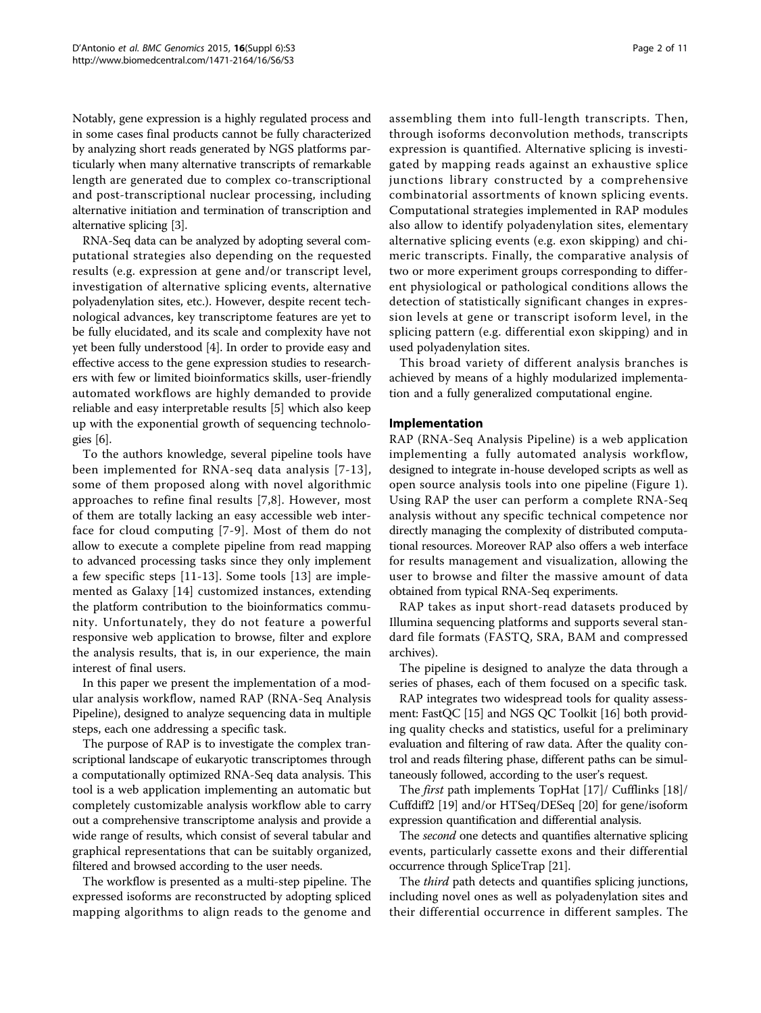Notably, gene expression is a highly regulated process and in some cases final products cannot be fully characterized by analyzing short reads generated by NGS platforms particularly when many alternative transcripts of remarkable length are generated due to complex co-transcriptional and post-transcriptional nuclear processing, including alternative initiation and termination of transcription and alternative splicing [[3\]](#page-9-0).

RNA-Seq data can be analyzed by adopting several computational strategies also depending on the requested results (e.g. expression at gene and/or transcript level, investigation of alternative splicing events, alternative polyadenylation sites, etc.). However, despite recent technological advances, key transcriptome features are yet to be fully elucidated, and its scale and complexity have not yet been fully understood [\[4](#page-9-0)]. In order to provide easy and effective access to the gene expression studies to researchers with few or limited bioinformatics skills, user-friendly automated workflows are highly demanded to provide reliable and easy interpretable results [[5\]](#page-9-0) which also keep up with the exponential growth of sequencing technologies [\[6](#page-9-0)].

To the authors knowledge, several pipeline tools have been implemented for RNA-seq data analysis [[7-13\]](#page-9-0), some of them proposed along with novel algorithmic approaches to refine final results [[7,8](#page-9-0)]. However, most of them are totally lacking an easy accessible web interface for cloud computing [[7-9\]](#page-9-0). Most of them do not allow to execute a complete pipeline from read mapping to advanced processing tasks since they only implement a few specific steps [\[11](#page-9-0)-[13](#page-9-0)]. Some tools [[13\]](#page-9-0) are implemented as Galaxy [\[14](#page-9-0)] customized instances, extending the platform contribution to the bioinformatics community. Unfortunately, they do not feature a powerful responsive web application to browse, filter and explore the analysis results, that is, in our experience, the main interest of final users.

In this paper we present the implementation of a modular analysis workflow, named RAP (RNA-Seq Analysis Pipeline), designed to analyze sequencing data in multiple steps, each one addressing a specific task.

The purpose of RAP is to investigate the complex transcriptional landscape of eukaryotic transcriptomes through a computationally optimized RNA-Seq data analysis. This tool is a web application implementing an automatic but completely customizable analysis workflow able to carry out a comprehensive transcriptome analysis and provide a wide range of results, which consist of several tabular and graphical representations that can be suitably organized, filtered and browsed according to the user needs.

The workflow is presented as a multi-step pipeline. The expressed isoforms are reconstructed by adopting spliced mapping algorithms to align reads to the genome and assembling them into full-length transcripts. Then, through isoforms deconvolution methods, transcripts expression is quantified. Alternative splicing is investigated by mapping reads against an exhaustive splice junctions library constructed by a comprehensive combinatorial assortments of known splicing events. Computational strategies implemented in RAP modules also allow to identify polyadenylation sites, elementary alternative splicing events (e.g. exon skipping) and chimeric transcripts. Finally, the comparative analysis of two or more experiment groups corresponding to different physiological or pathological conditions allows the detection of statistically significant changes in expression levels at gene or transcript isoform level, in the splicing pattern (e.g. differential exon skipping) and in used polyadenylation sites.

This broad variety of different analysis branches is achieved by means of a highly modularized implementation and a fully generalized computational engine.

# Implementation

RAP (RNA-Seq Analysis Pipeline) is a web application implementing a fully automated analysis workflow, designed to integrate in-house developed scripts as well as open source analysis tools into one pipeline (Figure [1](#page-2-0)). Using RAP the user can perform a complete RNA-Seq analysis without any specific technical competence nor directly managing the complexity of distributed computational resources. Moreover RAP also offers a web interface for results management and visualization, allowing the user to browse and filter the massive amount of data obtained from typical RNA-Seq experiments.

RAP takes as input short-read datasets produced by Illumina sequencing platforms and supports several standard file formats (FASTQ, SRA, BAM and compressed archives).

The pipeline is designed to analyze the data through a series of phases, each of them focused on a specific task.

RAP integrates two widespread tools for quality assessment: FastQC [\[15\]](#page-9-0) and NGS QC Toolkit [\[16\]](#page-9-0) both providing quality checks and statistics, useful for a preliminary evaluation and filtering of raw data. After the quality control and reads filtering phase, different paths can be simultaneously followed, according to the user's request.

The first path implements TopHat [[17\]](#page-9-0)/ Cufflinks [\[18\]](#page-9-0)/ Cuffdiff2 [\[19\]](#page-9-0) and/or HTSeq/DESeq [[20\]](#page-9-0) for gene/isoform expression quantification and differential analysis.

The *second* one detects and quantifies alternative splicing events, particularly cassette exons and their differential occurrence through SpliceTrap [\[21\]](#page-9-0).

The third path detects and quantifies splicing junctions, including novel ones as well as polyadenylation sites and their differential occurrence in different samples. The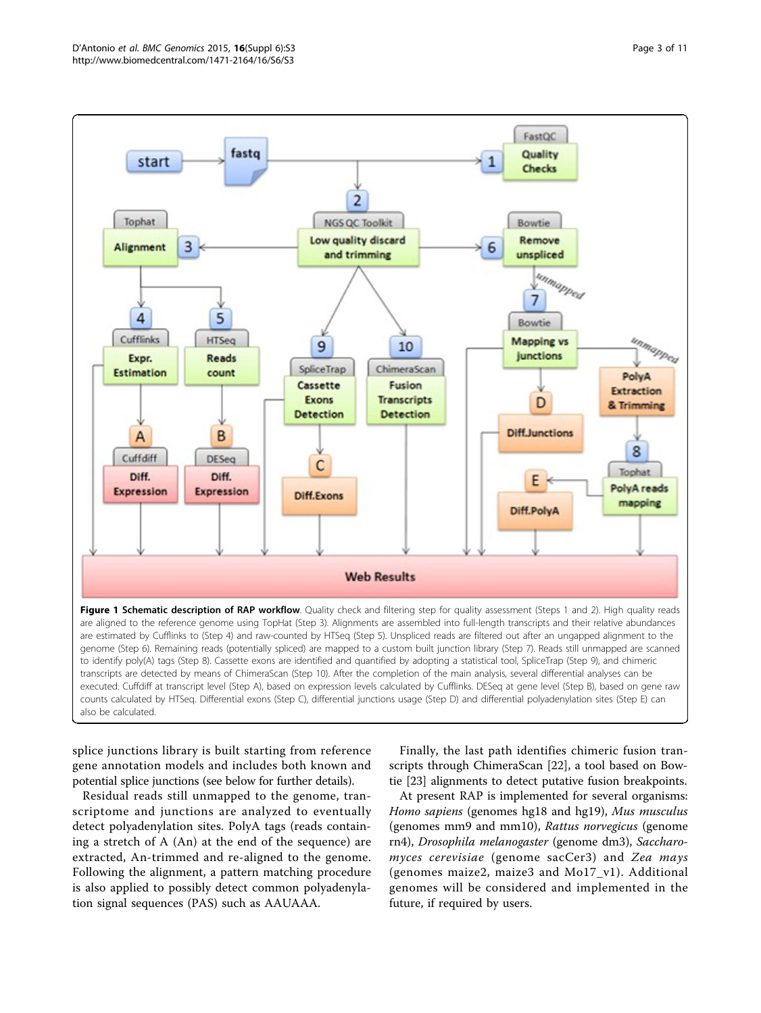<span id="page-2-0"></span>

splice junctions library is built starting from reference gene annotation models and includes both known and potential splice junctions (see below for further details).

Residual reads still unmapped to the genome, transcriptome and junctions are analyzed to eventually detect polyadenylation sites. PolyA tags (reads containing a stretch of A (An) at the end of the sequence) are extracted, An-trimmed and re-aligned to the genome. Following the alignment, a pattern matching procedure is also applied to possibly detect common polyadenylation signal sequences (PAS) such as AAUAAA.

Finally, the last path identifies chimeric fusion transcripts through ChimeraScan [[22](#page-9-0)], a tool based on Bowtie [\[23\]](#page-9-0) alignments to detect putative fusion breakpoints.

At present RAP is implemented for several organisms: Homo sapiens (genomes hg18 and hg19), Mus musculus (genomes mm9 and mm10), Rattus norvegicus (genome rn4), Drosophila melanogaster (genome dm3), Saccharomyces cerevisiae (genome sacCer3) and Zea mays (genomes maize2, maize3 and Mo17\_v1). Additional genomes will be considered and implemented in the future, if required by users.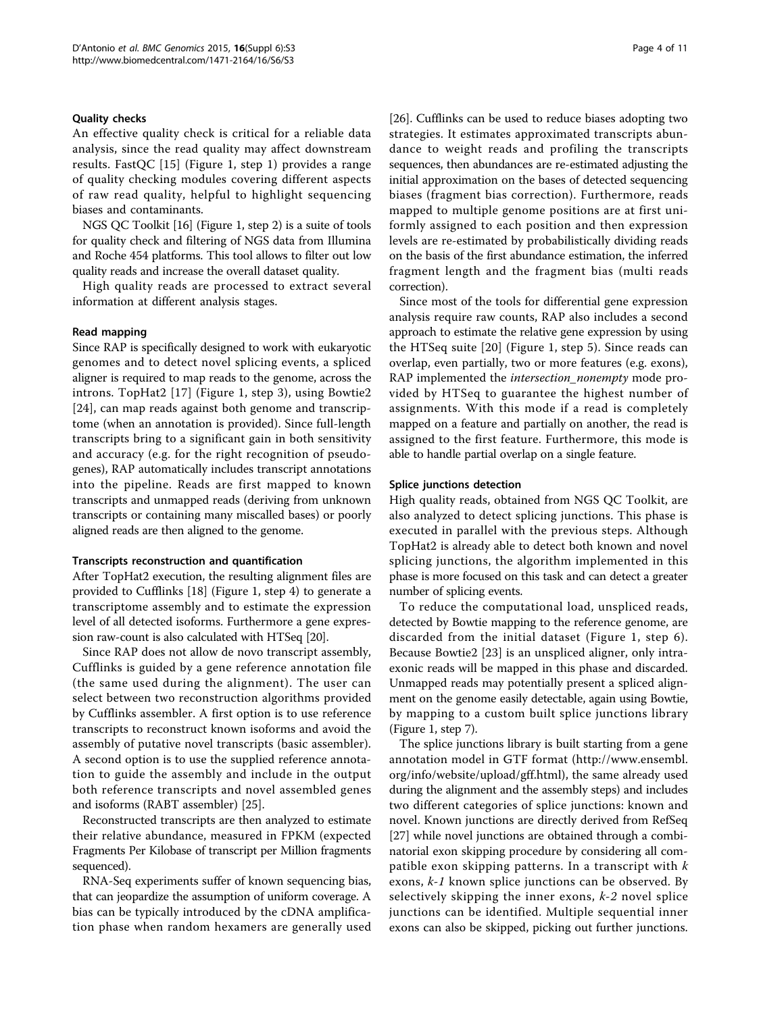#### Quality checks

An effective quality check is critical for a reliable data analysis, since the read quality may affect downstream results. FastQC [[15](#page-9-0)] (Figure [1,](#page-2-0) step 1) provides a range of quality checking modules covering different aspects of raw read quality, helpful to highlight sequencing biases and contaminants.

NGS QC Toolkit [\[16\]](#page-9-0) (Figure [1](#page-2-0), step 2) is a suite of tools for quality check and filtering of NGS data from Illumina and Roche 454 platforms. This tool allows to filter out low quality reads and increase the overall dataset quality.

High quality reads are processed to extract several information at different analysis stages.

#### Read mapping

Since RAP is specifically designed to work with eukaryotic genomes and to detect novel splicing events, a spliced aligner is required to map reads to the genome, across the introns. TopHat2 [[17](#page-9-0)] (Figure [1,](#page-2-0) step 3), using Bowtie2 [[24\]](#page-9-0), can map reads against both genome and transcriptome (when an annotation is provided). Since full-length transcripts bring to a significant gain in both sensitivity and accuracy (e.g. for the right recognition of pseudogenes), RAP automatically includes transcript annotations into the pipeline. Reads are first mapped to known transcripts and unmapped reads (deriving from unknown transcripts or containing many miscalled bases) or poorly aligned reads are then aligned to the genome.

#### Transcripts reconstruction and quantification

After TopHat2 execution, the resulting alignment files are provided to Cufflinks [[18](#page-9-0)] (Figure [1](#page-2-0), step 4) to generate a transcriptome assembly and to estimate the expression level of all detected isoforms. Furthermore a gene expression raw-count is also calculated with HTSeq [[20](#page-9-0)].

Since RAP does not allow de novo transcript assembly, Cufflinks is guided by a gene reference annotation file (the same used during the alignment). The user can select between two reconstruction algorithms provided by Cufflinks assembler. A first option is to use reference transcripts to reconstruct known isoforms and avoid the assembly of putative novel transcripts (basic assembler). A second option is to use the supplied reference annotation to guide the assembly and include in the output both reference transcripts and novel assembled genes and isoforms (RABT assembler) [\[25\]](#page-9-0).

Reconstructed transcripts are then analyzed to estimate their relative abundance, measured in FPKM (expected Fragments Per Kilobase of transcript per Million fragments sequenced).

RNA-Seq experiments suffer of known sequencing bias, that can jeopardize the assumption of uniform coverage. A bias can be typically introduced by the cDNA amplification phase when random hexamers are generally used [[26\]](#page-9-0). Cufflinks can be used to reduce biases adopting two strategies. It estimates approximated transcripts abundance to weight reads and profiling the transcripts sequences, then abundances are re-estimated adjusting the initial approximation on the bases of detected sequencing biases (fragment bias correction). Furthermore, reads mapped to multiple genome positions are at first uniformly assigned to each position and then expression levels are re-estimated by probabilistically dividing reads on the basis of the first abundance estimation, the inferred fragment length and the fragment bias (multi reads correction).

Since most of the tools for differential gene expression analysis require raw counts, RAP also includes a second approach to estimate the relative gene expression by using the HTSeq suite [[20\]](#page-9-0) (Figure [1](#page-2-0), step 5). Since reads can overlap, even partially, two or more features (e.g. exons), RAP implemented the *intersection\_nonempty* mode provided by HTSeq to guarantee the highest number of assignments. With this mode if a read is completely mapped on a feature and partially on another, the read is assigned to the first feature. Furthermore, this mode is able to handle partial overlap on a single feature.

#### Splice junctions detection

High quality reads, obtained from NGS QC Toolkit, are also analyzed to detect splicing junctions. This phase is executed in parallel with the previous steps. Although TopHat2 is already able to detect both known and novel splicing junctions, the algorithm implemented in this phase is more focused on this task and can detect a greater number of splicing events.

To reduce the computational load, unspliced reads, detected by Bowtie mapping to the reference genome, are discarded from the initial dataset (Figure [1](#page-2-0), step 6). Because Bowtie2 [\[23](#page-9-0)] is an unspliced aligner, only intraexonic reads will be mapped in this phase and discarded. Unmapped reads may potentially present a spliced alignment on the genome easily detectable, again using Bowtie, by mapping to a custom built splice junctions library (Figure [1](#page-2-0), step 7).

The splice junctions library is built starting from a gene annotation model in GTF format ([http://www.ensembl.](http://www.ensembl.org/info/website/upload/gff.html) [org/info/website/upload/gff.html\)](http://www.ensembl.org/info/website/upload/gff.html), the same already used during the alignment and the assembly steps) and includes two different categories of splice junctions: known and novel. Known junctions are directly derived from RefSeq [[27\]](#page-9-0) while novel junctions are obtained through a combinatorial exon skipping procedure by considering all compatible exon skipping patterns. In a transcript with  $k$ exons, k-1 known splice junctions can be observed. By selectively skipping the inner exons,  $k-2$  novel splice junctions can be identified. Multiple sequential inner exons can also be skipped, picking out further junctions.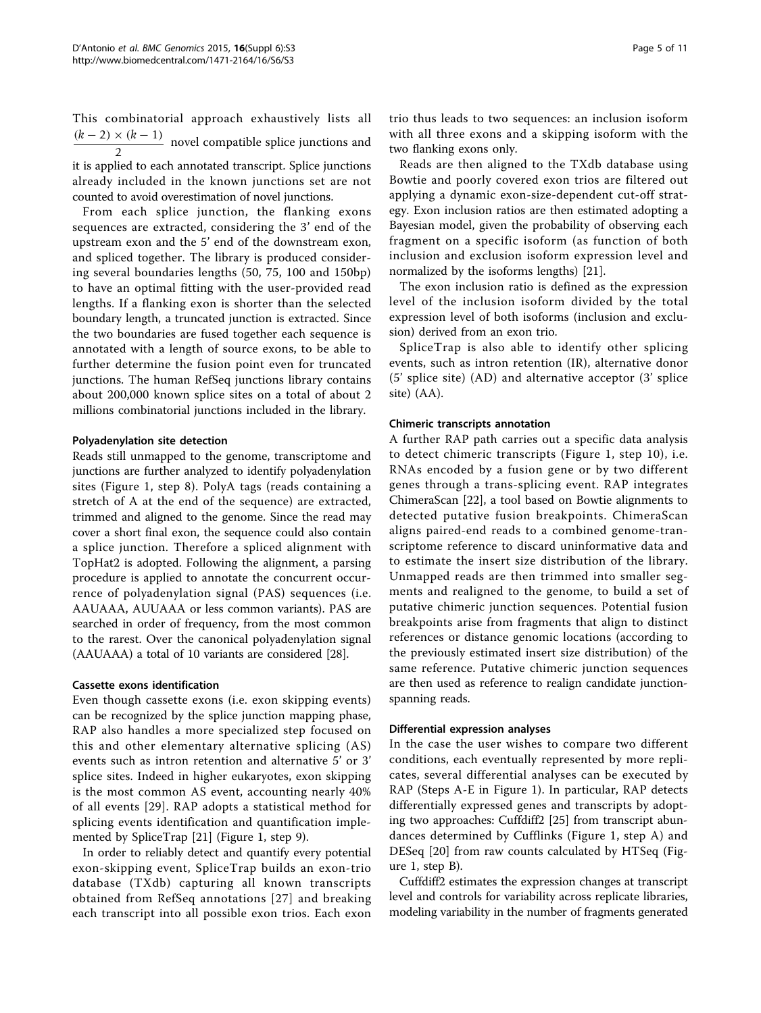This combinatorial approach exhaustively lists all  $\frac{(k-2) \times (k-1)}{2}$  novel compatible splice junctions and it is applied to each annotated transcript. Splice junctions already included in the known junctions set are not counted to avoid overestimation of novel junctions.

From each splice junction, the flanking exons sequences are extracted, considering the 3' end of the upstream exon and the 5' end of the downstream exon, and spliced together. The library is produced considering several boundaries lengths (50, 75, 100 and 150bp) to have an optimal fitting with the user-provided read lengths. If a flanking exon is shorter than the selected boundary length, a truncated junction is extracted. Since the two boundaries are fused together each sequence is annotated with a length of source exons, to be able to further determine the fusion point even for truncated junctions. The human RefSeq junctions library contains about 200,000 known splice sites on a total of about 2 millions combinatorial junctions included in the library.

# Polyadenylation site detection

Reads still unmapped to the genome, transcriptome and junctions are further analyzed to identify polyadenylation sites (Figure [1,](#page-2-0) step 8). PolyA tags (reads containing a stretch of A at the end of the sequence) are extracted, trimmed and aligned to the genome. Since the read may cover a short final exon, the sequence could also contain a splice junction. Therefore a spliced alignment with TopHat2 is adopted. Following the alignment, a parsing procedure is applied to annotate the concurrent occurrence of polyadenylation signal (PAS) sequences (i.e. AAUAAA, AUUAAA or less common variants). PAS are searched in order of frequency, from the most common to the rarest. Over the canonical polyadenylation signal (AAUAAA) a total of 10 variants are considered [\[28](#page-9-0)].

#### Cassette exons identification

Even though cassette exons (i.e. exon skipping events) can be recognized by the splice junction mapping phase, RAP also handles a more specialized step focused on this and other elementary alternative splicing (AS) events such as intron retention and alternative 5' or 3' splice sites. Indeed in higher eukaryotes, exon skipping is the most common AS event, accounting nearly 40% of all events [\[29](#page-9-0)]. RAP adopts a statistical method for splicing events identification and quantification implemented by SpliceTrap [\[21](#page-9-0)] (Figure [1](#page-2-0), step 9).

In order to reliably detect and quantify every potential exon-skipping event, SpliceTrap builds an exon-trio database (TXdb) capturing all known transcripts obtained from RefSeq annotations [[27](#page-9-0)] and breaking each transcript into all possible exon trios. Each exon

trio thus leads to two sequences: an inclusion isoform with all three exons and a skipping isoform with the two flanking exons only.

Reads are then aligned to the TXdb database using Bowtie and poorly covered exon trios are filtered out applying a dynamic exon-size-dependent cut-off strategy. Exon inclusion ratios are then estimated adopting a Bayesian model, given the probability of observing each fragment on a specific isoform (as function of both inclusion and exclusion isoform expression level and normalized by the isoforms lengths) [\[21\]](#page-9-0).

The exon inclusion ratio is defined as the expression level of the inclusion isoform divided by the total expression level of both isoforms (inclusion and exclusion) derived from an exon trio.

SpliceTrap is also able to identify other splicing events, such as intron retention (IR), alternative donor (5' splice site) (AD) and alternative acceptor (3' splice site) (AA).

# Chimeric transcripts annotation

A further RAP path carries out a specific data analysis to detect chimeric transcripts (Figure [1,](#page-2-0) step 10), i.e. RNAs encoded by a fusion gene or by two different genes through a trans-splicing event. RAP integrates ChimeraScan [[22](#page-9-0)], a tool based on Bowtie alignments to detected putative fusion breakpoints. ChimeraScan aligns paired-end reads to a combined genome-transcriptome reference to discard uninformative data and to estimate the insert size distribution of the library. Unmapped reads are then trimmed into smaller segments and realigned to the genome, to build a set of putative chimeric junction sequences. Potential fusion breakpoints arise from fragments that align to distinct references or distance genomic locations (according to the previously estimated insert size distribution) of the same reference. Putative chimeric junction sequences are then used as reference to realign candidate junctionspanning reads.

#### Differential expression analyses

In the case the user wishes to compare two different conditions, each eventually represented by more replicates, several differential analyses can be executed by RAP (Steps A-E in Figure [1\)](#page-2-0). In particular, RAP detects differentially expressed genes and transcripts by adopting two approaches: Cuffdiff2 [[25\]](#page-9-0) from transcript abundances determined by Cufflinks (Figure [1,](#page-2-0) step A) and DESeq [[20\]](#page-9-0) from raw counts calculated by HTSeq (Figure [1](#page-2-0), step B).

Cuffdiff2 estimates the expression changes at transcript level and controls for variability across replicate libraries, modeling variability in the number of fragments generated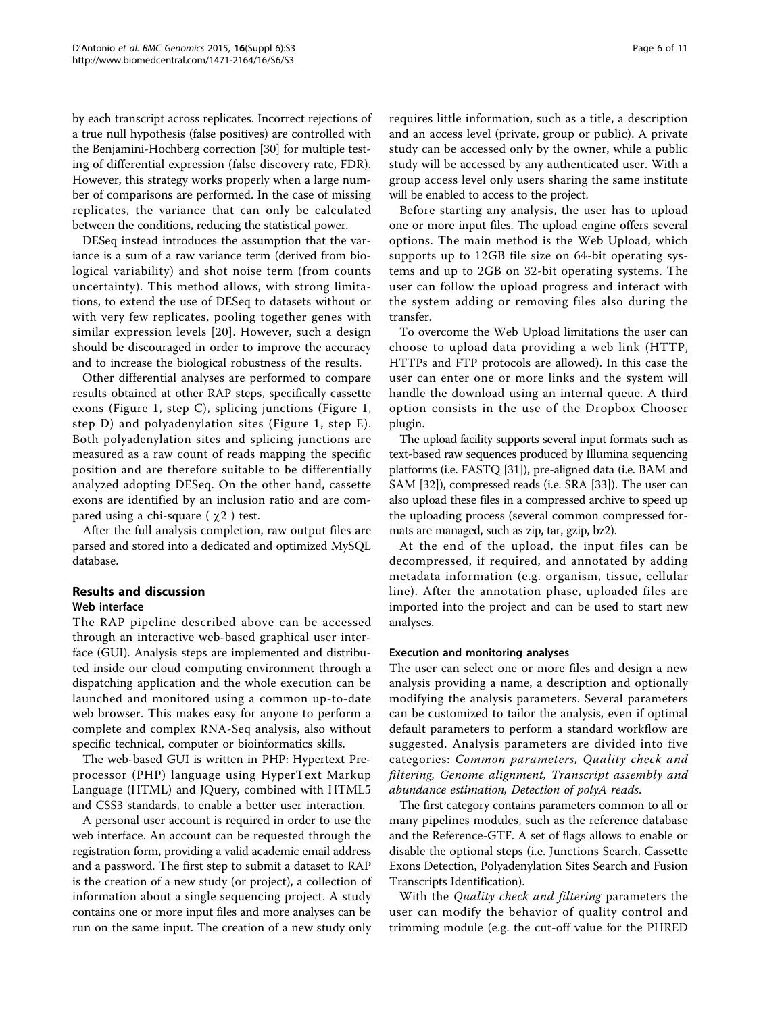by each transcript across replicates. Incorrect rejections of a true null hypothesis (false positives) are controlled with the Benjamini-Hochberg correction [\[30](#page-9-0)] for multiple testing of differential expression (false discovery rate, FDR). However, this strategy works properly when a large number of comparisons are performed. In the case of missing replicates, the variance that can only be calculated between the conditions, reducing the statistical power.

DESeq instead introduces the assumption that the variance is a sum of a raw variance term (derived from biological variability) and shot noise term (from counts uncertainty). This method allows, with strong limitations, to extend the use of DESeq to datasets without or with very few replicates, pooling together genes with similar expression levels [[20\]](#page-9-0). However, such a design should be discouraged in order to improve the accuracy and to increase the biological robustness of the results.

Other differential analyses are performed to compare results obtained at other RAP steps, specifically cassette exons (Figure [1,](#page-2-0) step C), splicing junctions (Figure [1](#page-2-0), step D) and polyadenylation sites (Figure [1,](#page-2-0) step E). Both polyadenylation sites and splicing junctions are measured as a raw count of reads mapping the specific position and are therefore suitable to be differentially analyzed adopting DESeq. On the other hand, cassette exons are identified by an inclusion ratio and are compared using a chi-square ( $\chi$ 2) test.

After the full analysis completion, raw output files are parsed and stored into a dedicated and optimized MySQL database.

# Results and discussion

# Web interface

The RAP pipeline described above can be accessed through an interactive web-based graphical user interface (GUI). Analysis steps are implemented and distributed inside our cloud computing environment through a dispatching application and the whole execution can be launched and monitored using a common up-to-date web browser. This makes easy for anyone to perform a complete and complex RNA-Seq analysis, also without specific technical, computer or bioinformatics skills.

The web-based GUI is written in PHP: Hypertext Preprocessor (PHP) language using HyperText Markup Language (HTML) and JQuery, combined with HTML5 and CSS3 standards, to enable a better user interaction.

A personal user account is required in order to use the web interface. An account can be requested through the registration form, providing a valid academic email address and a password. The first step to submit a dataset to RAP is the creation of a new study (or project), a collection of information about a single sequencing project. A study contains one or more input files and more analyses can be run on the same input. The creation of a new study only requires little information, such as a title, a description and an access level (private, group or public). A private study can be accessed only by the owner, while a public study will be accessed by any authenticated user. With a group access level only users sharing the same institute will be enabled to access to the project.

Before starting any analysis, the user has to upload one or more input files. The upload engine offers several options. The main method is the Web Upload, which supports up to 12GB file size on 64-bit operating systems and up to 2GB on 32-bit operating systems. The user can follow the upload progress and interact with the system adding or removing files also during the transfer.

To overcome the Web Upload limitations the user can choose to upload data providing a web link (HTTP, HTTPs and FTP protocols are allowed). In this case the user can enter one or more links and the system will handle the download using an internal queue. A third option consists in the use of the Dropbox Chooser plugin.

The upload facility supports several input formats such as text-based raw sequences produced by Illumina sequencing platforms (i.e. FASTQ [\[31\]](#page-9-0)), pre-aligned data (i.e. BAM and SAM [\[32\]](#page-9-0)), compressed reads (i.e. SRA [[33](#page-9-0)]). The user can also upload these files in a compressed archive to speed up the uploading process (several common compressed formats are managed, such as zip, tar, gzip, bz2).

At the end of the upload, the input files can be decompressed, if required, and annotated by adding metadata information (e.g. organism, tissue, cellular line). After the annotation phase, uploaded files are imported into the project and can be used to start new analyses.

#### Execution and monitoring analyses

The user can select one or more files and design a new analysis providing a name, a description and optionally modifying the analysis parameters. Several parameters can be customized to tailor the analysis, even if optimal default parameters to perform a standard workflow are suggested. Analysis parameters are divided into five categories: Common parameters, Quality check and filtering, Genome alignment, Transcript assembly and abundance estimation, Detection of polyA reads.

The first category contains parameters common to all or many pipelines modules, such as the reference database and the Reference-GTF. A set of flags allows to enable or disable the optional steps (i.e. Junctions Search, Cassette Exons Detection, Polyadenylation Sites Search and Fusion Transcripts Identification).

With the *Quality check and filtering* parameters the user can modify the behavior of quality control and trimming module (e.g. the cut-off value for the PHRED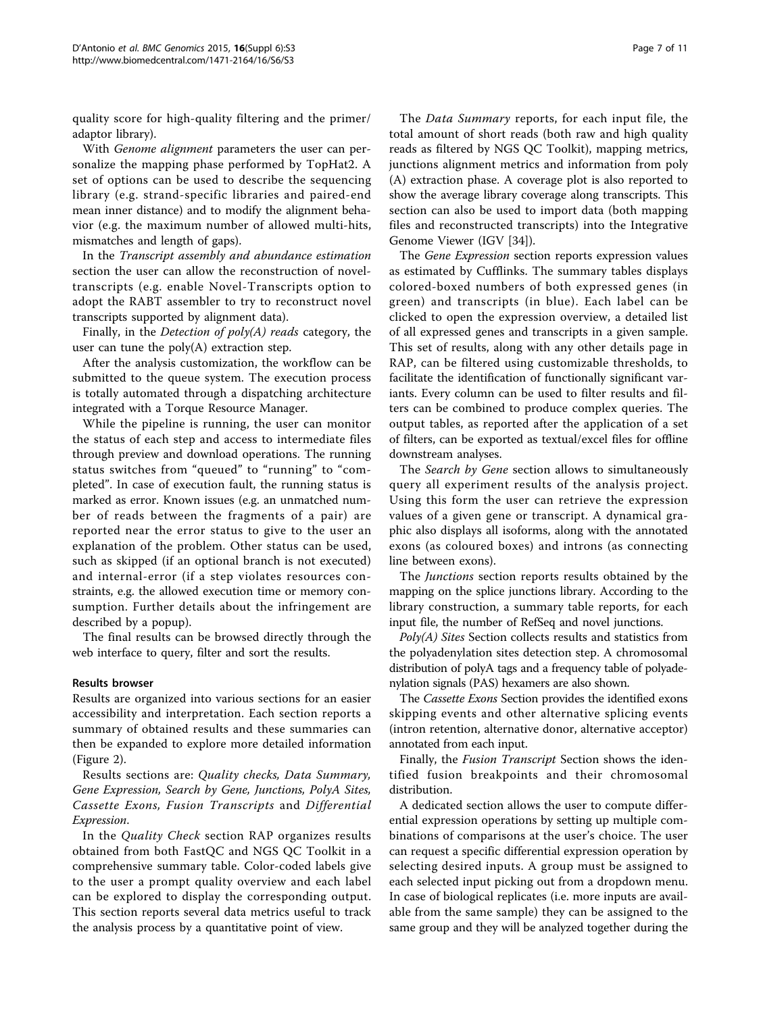quality score for high-quality filtering and the primer/ adaptor library).

With Genome alignment parameters the user can personalize the mapping phase performed by TopHat2. A set of options can be used to describe the sequencing library (e.g. strand-specific libraries and paired-end mean inner distance) and to modify the alignment behavior (e.g. the maximum number of allowed multi-hits, mismatches and length of gaps).

In the Transcript assembly and abundance estimation section the user can allow the reconstruction of noveltranscripts (e.g. enable Novel-Transcripts option to adopt the RABT assembler to try to reconstruct novel transcripts supported by alignment data).

Finally, in the *Detection of poly(A) reads* category, the user can tune the  $poly(A)$  extraction step.

After the analysis customization, the workflow can be submitted to the queue system. The execution process is totally automated through a dispatching architecture integrated with a Torque Resource Manager.

While the pipeline is running, the user can monitor the status of each step and access to intermediate files through preview and download operations. The running status switches from "queued" to "running" to "completed". In case of execution fault, the running status is marked as error. Known issues (e.g. an unmatched number of reads between the fragments of a pair) are reported near the error status to give to the user an explanation of the problem. Other status can be used, such as skipped (if an optional branch is not executed) and internal-error (if a step violates resources constraints, e.g. the allowed execution time or memory consumption. Further details about the infringement are described by a popup).

The final results can be browsed directly through the web interface to query, filter and sort the results.

#### Results browser

Results are organized into various sections for an easier accessibility and interpretation. Each section reports a summary of obtained results and these summaries can then be expanded to explore more detailed information (Figure [2\)](#page-7-0).

Results sections are: Quality checks, Data Summary, Gene Expression, Search by Gene, Junctions, PolyA Sites, Cassette Exons, Fusion Transcripts and Differential Expression.

In the *Quality Check* section RAP organizes results obtained from both FastQC and NGS QC Toolkit in a comprehensive summary table. Color-coded labels give to the user a prompt quality overview and each label can be explored to display the corresponding output. This section reports several data metrics useful to track the analysis process by a quantitative point of view.

The *Data Summary* reports, for each input file, the total amount of short reads (both raw and high quality reads as filtered by NGS QC Toolkit), mapping metrics, junctions alignment metrics and information from poly (A) extraction phase. A coverage plot is also reported to show the average library coverage along transcripts. This section can also be used to import data (both mapping files and reconstructed transcripts) into the Integrative Genome Viewer (IGV [\[34\]](#page-9-0)).

The Gene Expression section reports expression values as estimated by Cufflinks. The summary tables displays colored-boxed numbers of both expressed genes (in green) and transcripts (in blue). Each label can be clicked to open the expression overview, a detailed list of all expressed genes and transcripts in a given sample. This set of results, along with any other details page in RAP, can be filtered using customizable thresholds, to facilitate the identification of functionally significant variants. Every column can be used to filter results and filters can be combined to produce complex queries. The output tables, as reported after the application of a set of filters, can be exported as textual/excel files for offline downstream analyses.

The Search by Gene section allows to simultaneously query all experiment results of the analysis project. Using this form the user can retrieve the expression values of a given gene or transcript. A dynamical graphic also displays all isoforms, along with the annotated exons (as coloured boxes) and introns (as connecting line between exons).

The Junctions section reports results obtained by the mapping on the splice junctions library. According to the library construction, a summary table reports, for each input file, the number of RefSeq and novel junctions.

 $Poly(A)$  Sites Section collects results and statistics from the polyadenylation sites detection step. A chromosomal distribution of polyA tags and a frequency table of polyadenylation signals (PAS) hexamers are also shown.

The Cassette Exons Section provides the identified exons skipping events and other alternative splicing events (intron retention, alternative donor, alternative acceptor) annotated from each input.

Finally, the Fusion Transcript Section shows the identified fusion breakpoints and their chromosomal distribution.

A dedicated section allows the user to compute differential expression operations by setting up multiple combinations of comparisons at the user's choice. The user can request a specific differential expression operation by selecting desired inputs. A group must be assigned to each selected input picking out from a dropdown menu. In case of biological replicates (i.e. more inputs are available from the same sample) they can be assigned to the same group and they will be analyzed together during the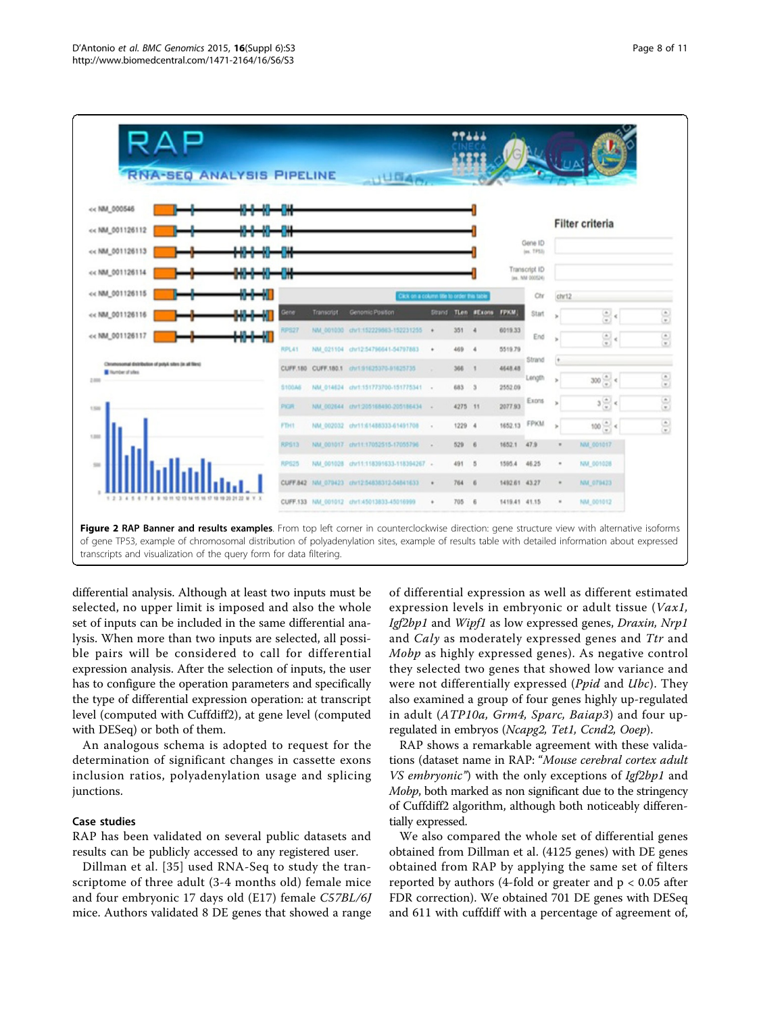<span id="page-7-0"></span>

Figure 2 RAP Banner and results examples. From top left corner in counterclockwise direction: gene structure view with alternative isoforms of gene TP53, example of chromosomal distribution of polyadenylation sites, example of results table with detailed information about expressed transcripts and visualization of the query form for data filtering.

differential analysis. Although at least two inputs must be selected, no upper limit is imposed and also the whole set of inputs can be included in the same differential analysis. When more than two inputs are selected, all possible pairs will be considered to call for differential expression analysis. After the selection of inputs, the user has to configure the operation parameters and specifically the type of differential expression operation: at transcript level (computed with Cuffdiff2), at gene level (computed with DESeq) or both of them.

An analogous schema is adopted to request for the determination of significant changes in cassette exons inclusion ratios, polyadenylation usage and splicing junctions.

# Case studies

RAP has been validated on several public datasets and results can be publicly accessed to any registered user.

Dillman et al. [\[35\]](#page-9-0) used RNA-Seq to study the transcriptome of three adult (3-4 months old) female mice and four embryonic 17 days old (E17) female C57BL/6J mice. Authors validated 8 DE genes that showed a range of differential expression as well as different estimated expression levels in embryonic or adult tissue (Vax1, Igf2bp1 and Wipf1 as low expressed genes, Draxin, Nrp1 and Caly as moderately expressed genes and Ttr and Mobp as highly expressed genes). As negative control they selected two genes that showed low variance and were not differentially expressed (Ppid and Ubc). They also examined a group of four genes highly up-regulated in adult (ATP10a, Grm4, Sparc, Baiap3) and four upregulated in embryos (Ncapg2, Tet1, Ccnd2, Ooep).

RAP shows a remarkable agreement with these validations (dataset name in RAP: "Mouse cerebral cortex adult VS embryonic") with the only exceptions of Igf2bp1 and Mobp, both marked as non significant due to the stringency of Cuffdiff2 algorithm, although both noticeably differentially expressed.

We also compared the whole set of differential genes obtained from Dillman et al. (4125 genes) with DE genes obtained from RAP by applying the same set of filters reported by authors (4-fold or greater and p < 0.05 after FDR correction). We obtained 701 DE genes with DESeq and 611 with cuffdiff with a percentage of agreement of,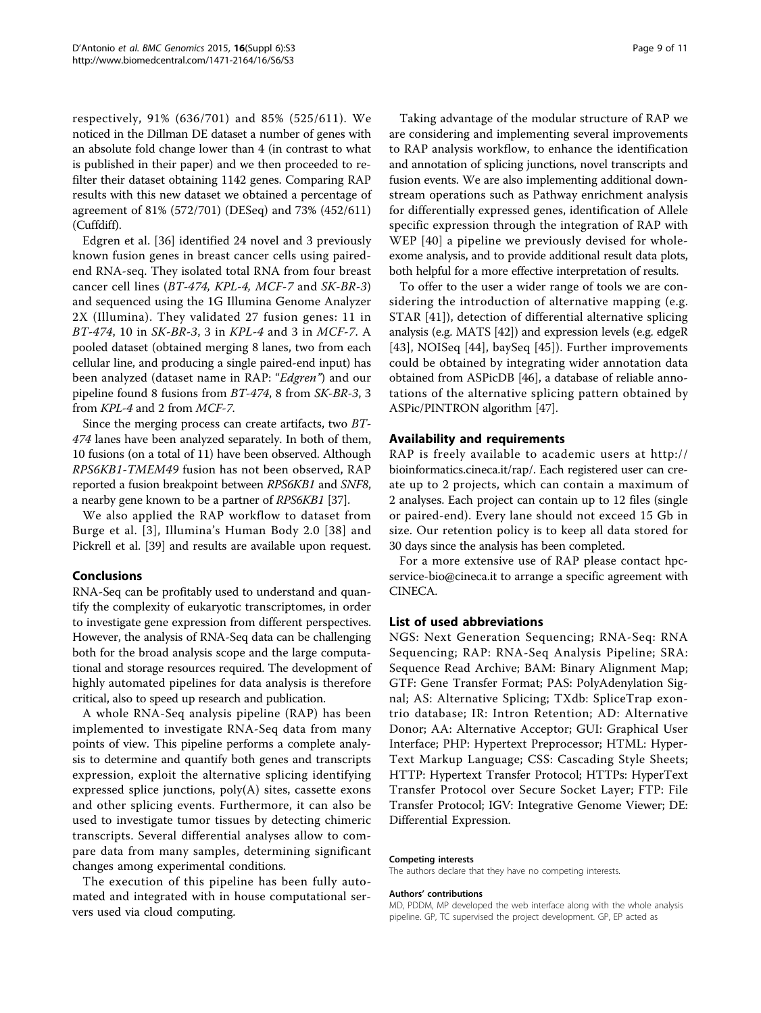respectively, 91% (636/701) and 85% (525/611). We noticed in the Dillman DE dataset a number of genes with an absolute fold change lower than 4 (in contrast to what is published in their paper) and we then proceeded to refilter their dataset obtaining 1142 genes. Comparing RAP results with this new dataset we obtained a percentage of agreement of 81% (572/701) (DESeq) and 73% (452/611) (Cuffdiff).

Edgren et al. [[36\]](#page-9-0) identified 24 novel and 3 previously known fusion genes in breast cancer cells using pairedend RNA-seq. They isolated total RNA from four breast cancer cell lines  $(BT-474, KPL-4, MCF-7$  and  $SK-BR-3)$ and sequenced using the 1G Illumina Genome Analyzer 2X (Illumina). They validated 27 fusion genes: 11 in BT-474, 10 in SK-BR-3, 3 in KPL-4 and 3 in MCF-7. A pooled dataset (obtained merging 8 lanes, two from each cellular line, and producing a single paired-end input) has been analyzed (dataset name in RAP: "Edgren") and our pipeline found 8 fusions from BT-474, 8 from SK-BR-3, 3 from KPL-4 and 2 from MCF-7.

Since the merging process can create artifacts, two BT-474 lanes have been analyzed separately. In both of them, 10 fusions (on a total of 11) have been observed. Although RPS6KB1-TMEM49 fusion has not been observed, RAP reported a fusion breakpoint between RPS6KB1 and SNF8, a nearby gene known to be a partner of RPS6KB1 [\[37\]](#page-9-0).

We also applied the RAP workflow to dataset from Burge et al. [[3\]](#page-9-0), Illumina's Human Body 2.0 [\[38\]](#page-9-0) and Pickrell et al. [[39](#page-10-0)] and results are available upon request.

#### Conclusions

RNA-Seq can be profitably used to understand and quantify the complexity of eukaryotic transcriptomes, in order to investigate gene expression from different perspectives. However, the analysis of RNA-Seq data can be challenging both for the broad analysis scope and the large computational and storage resources required. The development of highly automated pipelines for data analysis is therefore critical, also to speed up research and publication.

A whole RNA-Seq analysis pipeline (RAP) has been implemented to investigate RNA-Seq data from many points of view. This pipeline performs a complete analysis to determine and quantify both genes and transcripts expression, exploit the alternative splicing identifying expressed splice junctions, poly(A) sites, cassette exons and other splicing events. Furthermore, it can also be used to investigate tumor tissues by detecting chimeric transcripts. Several differential analyses allow to compare data from many samples, determining significant changes among experimental conditions.

The execution of this pipeline has been fully automated and integrated with in house computational servers used via cloud computing.

Taking advantage of the modular structure of RAP we are considering and implementing several improvements to RAP analysis workflow, to enhance the identification and annotation of splicing junctions, novel transcripts and fusion events. We are also implementing additional downstream operations such as Pathway enrichment analysis for differentially expressed genes, identification of Allele specific expression through the integration of RAP with WEP [[40\]](#page-10-0) a pipeline we previously devised for wholeexome analysis, and to provide additional result data plots, both helpful for a more effective interpretation of results.

To offer to the user a wider range of tools we are considering the introduction of alternative mapping (e.g. STAR [[41](#page-10-0)]), detection of differential alternative splicing analysis (e.g. MATS [\[42\]](#page-10-0)) and expression levels (e.g. edgeR [[43](#page-10-0)], NOISeq [[44](#page-10-0)], baySeq [[45\]](#page-10-0)). Further improvements could be obtained by integrating wider annotation data obtained from ASPicDB [[46\]](#page-10-0), a database of reliable annotations of the alternative splicing pattern obtained by ASPic/PINTRON algorithm [\[47\]](#page-10-0).

#### Availability and requirements

RAP is freely available to academic users at [http://](http://bioinformatics.cineca.it/rap/) [bioinformatics.cineca.it/rap/](http://bioinformatics.cineca.it/rap/). Each registered user can create up to 2 projects, which can contain a maximum of 2 analyses. Each project can contain up to 12 files (single or paired-end). Every lane should not exceed 15 Gb in size. Our retention policy is to keep all data stored for 30 days since the analysis has been completed.

For a more extensive use of RAP please contact hpcservice-bio@cineca.it to arrange a specific agreement with CINECA.

### List of used abbreviations

NGS: Next Generation Sequencing; RNA-Seq: RNA Sequencing; RAP: RNA-Seq Analysis Pipeline; SRA: Sequence Read Archive; BAM: Binary Alignment Map; GTF: Gene Transfer Format; PAS: PolyAdenylation Signal; AS: Alternative Splicing; TXdb: SpliceTrap exontrio database; IR: Intron Retention; AD: Alternative Donor; AA: Alternative Acceptor; GUI: Graphical User Interface; PHP: Hypertext Preprocessor; HTML: Hyper-Text Markup Language; CSS: Cascading Style Sheets; HTTP: Hypertext Transfer Protocol; HTTPs: HyperText Transfer Protocol over Secure Socket Layer; FTP: File Transfer Protocol; IGV: Integrative Genome Viewer; DE: Differential Expression.

#### Competing interests

The authors declare that they have no competing interests.

#### Authors' contributions

MD, PDDM, MP developed the web interface along with the whole analysis pipeline. GP, TC supervised the project development. GP, EP acted as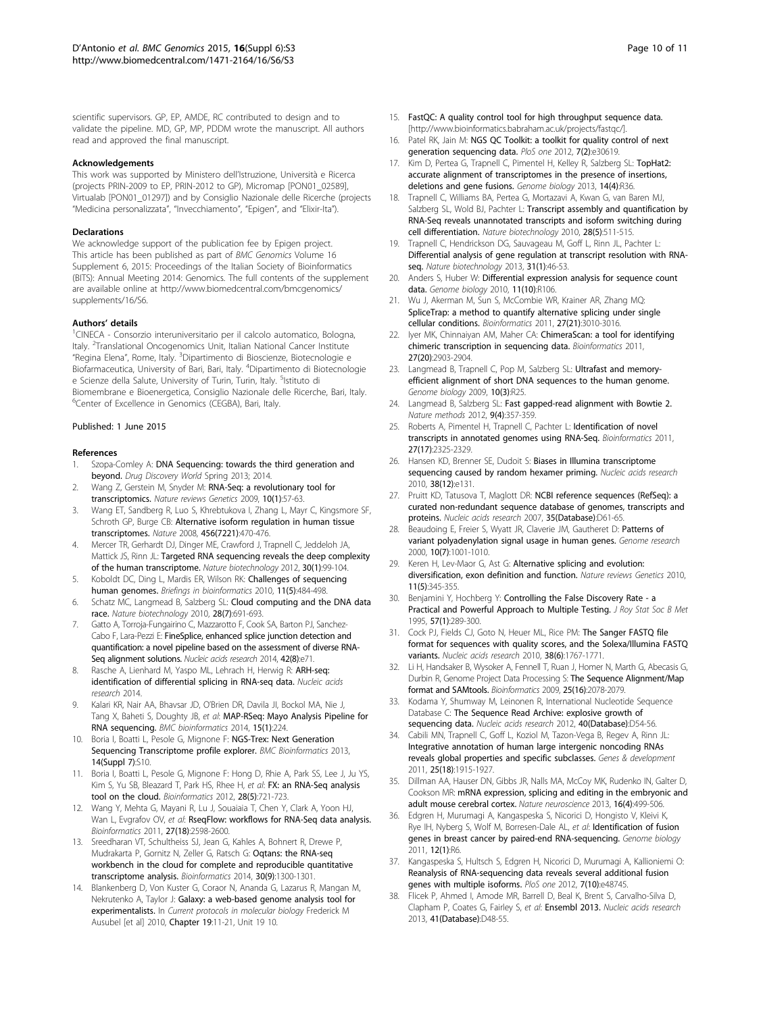<span id="page-9-0"></span>scientific supervisors. GP, EP, AMDE, RC contributed to design and to validate the pipeline. MD, GP, MP, PDDM wrote the manuscript. All authors read and approved the final manuscript.

#### Acknowledgements

This work was supported by Ministero dell'Istruzione, Università e Ricerca (projects PRIN-2009 to EP, PRIN-2012 to GP), Micromap [PON01\_02589], Virtualab [PON01\_01297]) and by Consiglio Nazionale delle Ricerche (projects "Medicina personalizzata", "Invecchiamento", "Epigen", and "Elixir-Ita").

#### Declarations

We acknowledge support of the publication fee by Epigen project. This article has been published as part of BMC Genomics Volume 16 Supplement 6, 2015: Proceedings of the Italian Society of Bioinformatics (BITS): Annual Meeting 2014: Genomics. The full contents of the supplement are available online at [http://www.biomedcentral.com/bmcgenomics/](http://www.biomedcentral.com/bmcgenomics/supplements/16/S6) [supplements/16/S6.](http://www.biomedcentral.com/bmcgenomics/supplements/16/S6)

#### Authors' details <sup>1</sup>

<sup>1</sup>CINECA - Consorzio interuniversitario per il calcolo automatico, Bologna, Italy. <sup>2</sup>Translational Oncogenomics Unit, Italian National Cancer Institute "Regina Elena", Rome, Italy. <sup>3</sup>Dipartimento di Bioscienze, Biotecnologie e Biofarmaceutica, University of Bari, Bari, Italy. <sup>4</sup> Dipartimento di Biotecnologie e Scienze della Salute, University of Turin, Turin, Italy. <sup>5</sup>Istituto di Biomembrane e Bioenergetica, Consiglio Nazionale delle Ricerche, Bari, Italy. 6 Center of Excellence in Genomics (CEGBA), Bari, Italy.

#### Published: 1 June 2015

#### References

- 1. Szopa-Comley A: DNA Sequencing: towards the third generation and beyond. Drug Discovery World Spring 2013; 2014.
- 2. Wang Z, Gerstein M, Snyder M: RNA-Seq: a revolutionary tool for transcriptomics. Nature reviews Genetics 2009, 10(1):57-63.
- 3. Wang ET, Sandberg R, Luo S, Khrebtukova I, Zhang L, Mayr C, Kingsmore SF, Schroth GP, Burge CB: Alternative isoform regulation in human tissue transcriptomes. Nature 2008, 456(7221):470-476.
- 4. Mercer TR, Gerhardt DJ, Dinger ME, Crawford J, Trapnell C, Jeddeloh JA, Mattick JS, Rinn JL: Targeted RNA sequencing reveals the deep complexity of the human transcriptome. Nature biotechnology 2012, 30(1):99-104.
- 5. Koboldt DC, Ding L, Mardis ER, Wilson RK: Challenges of sequencing human genomes. Briefings in bioinformatics 2010, 11(5):484-498.
- 6. Schatz MC, Langmead B, Salzberg SL: Cloud computing and the DNA data race. Nature biotechnology 2010, 28(7):691-693.
- 7. Gatto A, Torroja-Fungairino C, Mazzarotto F, Cook SA, Barton PJ, Sanchez-Cabo F, Lara-Pezzi E: FineSplice, enhanced splice junction detection and quantification: a novel pipeline based on the assessment of diverse RNA-Seq alignment solutions. Nucleic acids research 2014, 42(8):e71.
- Rasche A, Lienhard M, Yaspo ML, Lehrach H, Herwig R: ARH-seq: identification of differential splicing in RNA-seq data. Nucleic acids research 2014.
- 9. Kalari KR, Nair AA, Bhavsar JD, O'Brien DR, Davila JI, Bockol MA, Nie J, Tang X, Baheti S, Doughty JB, et al: MAP-RSeq: Mayo Analysis Pipeline for RNA sequencing. BMC bioinformatics 2014, 15(1):224.
- 10. Boria I, Boatti L, Pesole G, Mignone F: NGS-Trex: Next Generation Sequencing Transcriptome profile explorer. BMC Bioinformatics 2013, 14(Suppl 7):S10.
- 11. Boria I, Boatti L, Pesole G, Mignone F: Hong D, Rhie A, Park SS, Lee J, Ju YS, Kim S, Yu SB, Bleazard T, Park HS, Rhee H, et al: FX: an RNA-Seq analysis tool on the cloud. Bioinformatics 2012, 28(5):721-723.
- 12. Wang Y, Mehta G, Mayani R, Lu J, Souaiaia T, Chen Y, Clark A, Yoon HJ, Wan L, Evgrafov OV, et al: RseqFlow: workflows for RNA-Seq data analysis. Bioinformatics 2011, 27(18):2598-2600.
- 13. Sreedharan VT, Schultheiss SJ, Jean G, Kahles A, Bohnert R, Drewe P, Mudrakarta P, Gornitz N, Zeller G, Ratsch G: Oqtans: the RNA-seq workbench in the cloud for complete and reproducible quantitative transcriptome analysis. Bioinformatics 2014, 30(9):1300-1301.
- 14. Blankenberg D, Von Kuster G, Coraor N, Ananda G, Lazarus R, Mangan M, Nekrutenko A, Taylor J: Galaxy: a web-based genome analysis tool for experimentalists. In Current protocols in molecular biology Frederick M Ausubel [et al] 2010, Chapter 19:11-21, Unit 19 10.
- 15. FastQC: A quality control tool for high throughput sequence data. [[http://www.bioinformatics.babraham.ac.uk/projects/fastqc/\]](http://www.bioinformatics.babraham.ac.uk/projects/fastqc/).
- 16. Patel RK, Jain M: NGS QC Toolkit: a toolkit for quality control of next generation sequencing data. PloS one 2012, 7(2):e30619.
- 17. Kim D, Pertea G, Trapnell C, Pimentel H, Kelley R, Salzberg SL: TopHat2: accurate alignment of transcriptomes in the presence of insertions, deletions and gene fusions. Genome biology 2013, 14(4):R36.
- 18. Trapnell C, Williams BA, Pertea G, Mortazavi A, Kwan G, van Baren MJ, Salzberg SL, Wold BJ, Pachter L: Transcript assembly and quantification by RNA-Seq reveals unannotated transcripts and isoform switching during cell differentiation. Nature biotechnology 2010, 28(5):511-515.
- 19. Trapnell C, Hendrickson DG, Sauvageau M, Goff L, Rinn JL, Pachter L: Differential analysis of gene regulation at transcript resolution with RNAseq. Nature biotechnology 2013, 31(1):46-53.
- 20. Anders S, Huber W: Differential expression analysis for sequence count data. Genome biology 2010, 11(10):R106.
- 21. Wu J, Akerman M, Sun S, McCombie WR, Krainer AR, Zhang MQ: SpliceTrap: a method to quantify alternative splicing under single cellular conditions. Bioinformatics 2011, 27(21):3010-3016.
- 22. Iyer MK, Chinnaiyan AM, Maher CA: ChimeraScan: a tool for identifying chimeric transcription in sequencing data. Bioinformatics 2011, 27(20):2903-2904.
- 23. Langmead B, Trapnell C, Pop M, Salzberg SL: Ultrafast and memoryefficient alignment of short DNA sequences to the human genome. Genome biology 2009, 10(3):R25.
- 24. Langmead B, Salzberg SL: Fast gapped-read alignment with Bowtie 2. Nature methods 2012, 9(4):357-359.
- 25. Roberts A, Pimentel H, Trapnell C, Pachter L: Identification of novel transcripts in annotated genomes using RNA-Seq. Bioinformatics 2011, 27(17):2325-2329.
- 26. Hansen KD, Brenner SE, Dudoit S: Biases in Illumina transcriptome sequencing caused by random hexamer priming. Nucleic acids research 2010, 38(12):e131.
- 27. Pruitt KD, Tatusova T, Maglott DR: NCBI reference sequences (RefSeq): a curated non-redundant sequence database of genomes, transcripts and proteins. Nucleic acids research 2007, 35(Database):D61-65.
- 28. Beaudoing E, Freier S, Wyatt JR, Claverie JM, Gautheret D: Patterns of variant polyadenylation signal usage in human genes. Genome research 2000, 10(7):1001-1010.
- 29. Keren H, Lev-Maor G, Ast G: Alternative splicing and evolution: diversification, exon definition and function. Nature reviews Genetics 2010, 11(5):345-355.
- 30. Benjamini Y, Hochberg Y: Controlling the False Discovery Rate a Practical and Powerful Approach to Multiple Testing. J Roy Stat Soc B Met 1995, 57(1):289-300.
- 31. Cock PJ, Fields CJ, Goto N, Heuer ML, Rice PM: The Sanger FASTQ file format for sequences with quality scores, and the Solexa/Illumina FASTQ variants. Nucleic acids research 2010, 38(6):1767-1771.
- 32. Li H, Handsaker B, Wysoker A, Fennell T, Ruan J, Homer N, Marth G, Abecasis G, Durbin R, Genome Project Data Processing S: The Sequence Alignment/Map format and SAMtools. Bioinformatics 2009, 25(16):2078-2079.
- 33. Kodama Y, Shumway M, Leinonen R, International Nucleotide Sequence Database C: The Sequence Read Archive: explosive growth of sequencing data. Nucleic acids research 2012, 40(Database):D54-56.
- 34. Cabili MN, Trapnell C, Goff L, Koziol M, Tazon-Vega B, Regev A, Rinn JL: Integrative annotation of human large intergenic noncoding RNAs reveals global properties and specific subclasses. Genes & development 2011, 25(18):1915-1927.
- 35. Dillman AA, Hauser DN, Gibbs JR, Nalls MA, McCoy MK, Rudenko IN, Galter D, Cookson MR: mRNA expression, splicing and editing in the embryonic and adult mouse cerebral cortex. Nature neuroscience 2013, 16(4):499-506.
- 36. Edgren H, Murumagi A, Kangaspeska S, Nicorici D, Hongisto V, Kleivi K, Rye IH, Nyberg S, Wolf M, Borresen-Dale AL, et al: Identification of fusion genes in breast cancer by paired-end RNA-sequencing. Genome biology 2011, 12(1):R6.
- 37. Kangaspeska S, Hultsch S, Edgren H, Nicorici D, Murumagi A, Kallioniemi O: Reanalysis of RNA-sequencing data reveals several additional fusion genes with multiple isoforms. PloS one 2012, 7(10):e48745
- 38. Flicek P, Ahmed I, Amode MR, Barrell D, Beal K, Brent S, Carvalho-Silva D, Clapham P, Coates G, Fairley S, et al: Ensembl 2013. Nucleic acids research 2013, 41(Database):D48-55.